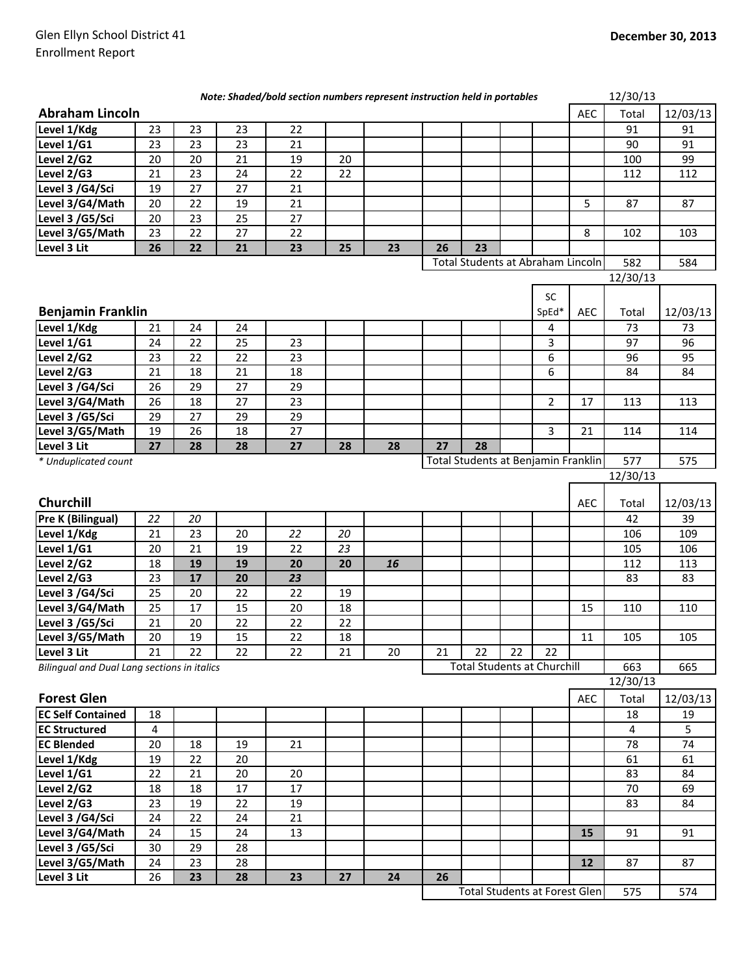|                                                    |          |          |          | Note: Shaded/bold section numbers represent instruction held in portables |    |    |    |                                     |    |                |            | 12/30/13 |          |
|----------------------------------------------------|----------|----------|----------|---------------------------------------------------------------------------|----|----|----|-------------------------------------|----|----------------|------------|----------|----------|
| <b>Abraham Lincoln</b>                             |          |          |          |                                                                           |    |    |    |                                     |    |                | <b>AEC</b> | Total    | 12/03/13 |
| Level 1/Kdg                                        | 23       | 23       | 23       | 22                                                                        |    |    |    |                                     |    |                |            | 91       | 91       |
| Level 1/G1                                         | 23       | 23       | 23       | 21                                                                        |    |    |    |                                     |    |                |            | 90       | 91       |
| Level 2/G2                                         | 20       | 20       | 21       | 19                                                                        | 20 |    |    |                                     |    |                |            | 100      | 99       |
| Level 2/G3                                         | 21       | 23       | 24       | 22                                                                        | 22 |    |    |                                     |    |                |            | 112      | 112      |
| Level 3 /G4/Sci                                    | 19       | 27       | 27       | 21                                                                        |    |    |    |                                     |    |                |            |          |          |
| Level 3/G4/Math                                    | 20       | 22       | 19       | 21                                                                        |    |    |    |                                     |    |                | 5          | 87       | 87       |
| Level 3 /G5/Sci                                    | 20       | 23       | 25       | 27                                                                        |    |    |    |                                     |    |                |            |          |          |
| Level 3/G5/Math                                    | 23       | 22       | 27       | 22                                                                        |    |    |    |                                     |    |                | 8          | 102      | 103      |
| Level 3 Lit                                        | 26       | 22       | 21       | 23                                                                        | 25 | 23 | 26 | 23                                  |    |                |            |          |          |
|                                                    |          |          |          |                                                                           |    |    |    | Total Students at Abraham Lincoln   |    |                |            | 582      | 584      |
|                                                    |          |          |          |                                                                           |    |    |    |                                     |    |                |            | 12/30/13 |          |
|                                                    |          |          |          |                                                                           |    |    |    |                                     |    | <b>SC</b>      |            |          |          |
| <b>Benjamin Franklin</b>                           |          |          |          |                                                                           |    |    |    |                                     |    | SpEd*          | <b>AEC</b> | Total    | 12/03/13 |
| Level 1/Kdg                                        |          |          |          |                                                                           |    |    |    |                                     |    |                |            | 73       | 73       |
| Level 1/G1                                         | 21<br>24 | 24<br>22 | 24<br>25 |                                                                           |    |    |    |                                     |    | 4              |            | 97       | 96       |
| Level 2/G2                                         | 23       | 22       | 22       | 23<br>23                                                                  |    |    |    |                                     |    | 3<br>6         |            | 96       | 95       |
| Level 2/G3                                         | 21       | 18       | 21       | 18                                                                        |    |    |    |                                     |    | 6              |            | 84       | 84       |
| Level 3 /G4/Sci                                    |          | 29       | 27       | 29                                                                        |    |    |    |                                     |    |                |            |          |          |
| Level 3/G4/Math                                    | 26<br>26 | 18       | 27       | 23                                                                        |    |    |    |                                     |    | $\overline{2}$ | 17         | 113      | 113      |
|                                                    |          | 27       |          |                                                                           |    |    |    |                                     |    |                |            |          |          |
| Level 3 /G5/Sci                                    | 29       |          | 29       | 29                                                                        |    |    |    |                                     |    |                |            |          |          |
| Level 3/G5/Math                                    | 19<br>27 | 26       | 18       | 27                                                                        |    |    | 27 | 28                                  |    | 3              | 21         | 114      | 114      |
| Level 3 Lit                                        |          | 28       | 28       | 27                                                                        | 28 | 28 |    | Total Students at Benjamin Franklin |    |                |            | 577      |          |
| * Unduplicated count                               |          |          |          |                                                                           |    |    |    |                                     |    |                |            | 12/30/13 | 575      |
|                                                    |          |          |          |                                                                           |    |    |    |                                     |    |                |            |          |          |
| Churchill                                          |          |          |          |                                                                           |    |    |    |                                     |    |                | <b>AEC</b> | Total    | 12/03/13 |
| <b>Pre K (Bilingual)</b>                           | 22       | 20       |          |                                                                           |    |    |    |                                     |    |                |            | 42       | 39       |
| Level 1/Kdg                                        | 21       | 23       | 20       | 22                                                                        | 20 |    |    |                                     |    |                |            | 106      | 109      |
| Level 1/G1                                         | 20       | 21       | 19       | 22                                                                        | 23 |    |    |                                     |    |                |            | 105      | 106      |
| Level 2/G2                                         | 18       | 19       | 19       | 20                                                                        | 20 | 16 |    |                                     |    |                |            | 112      | 113      |
| Level 2/G3                                         | 23       | 17       | 20       | 23                                                                        |    |    |    |                                     |    |                |            | 83       | 83       |
| Level 3 /G4/Sci                                    | 25       | 20       | 22       | 22                                                                        | 19 |    |    |                                     |    |                |            |          |          |
| Level 3/G4/Math                                    | 25       | 17       | 15       | 20                                                                        | 18 |    |    |                                     |    |                | 15         | 110      | 110      |
| Level 3 /G5/Sci                                    | 21       | 20       | 22       | 22                                                                        | 22 |    |    |                                     |    |                |            |          |          |
| Level 3/G5/Math                                    | 20       | 19       | 15       | 22                                                                        | 18 |    |    |                                     |    |                | 11         | 105      | 105      |
| Level 3 Lit                                        | 21       | 22       | 22       | 22                                                                        | 21 | 20 | 21 | 22                                  | 22 | 22             |            |          |          |
| <b>Bilingual and Dual Lang sections in italics</b> |          |          |          |                                                                           |    |    |    | <b>Total Students at Churchill</b>  |    |                |            | 663      | 665      |
|                                                    |          |          |          |                                                                           |    |    |    |                                     |    |                |            | 12/30/13 |          |
| <b>Forest Glen</b>                                 |          |          |          |                                                                           |    |    |    |                                     |    |                | AEC        | Total    | 12/03/13 |
| <b>EC Self Contained</b>                           | 18       |          |          |                                                                           |    |    |    |                                     |    |                |            | 18       | 19       |
| <b>EC Structured</b>                               | 4        |          |          |                                                                           |    |    |    |                                     |    |                |            | 4        | 5        |
| <b>EC Blended</b>                                  | 20       | 18       | 19       | 21                                                                        |    |    |    |                                     |    |                |            | 78       | 74       |
| Level 1/Kdg                                        | 19       | 22       | 20       |                                                                           |    |    |    |                                     |    |                |            | 61       | 61       |
| Level 1/G1                                         | 22       | 21       | 20       | 20                                                                        |    |    |    |                                     |    |                |            | 83       | 84       |
| Level 2/G2                                         | 18       | 18       | 17       | 17                                                                        |    |    |    |                                     |    |                |            | 70       | 69       |
| Level 2/G3                                         | 23       | 19       | 22       | 19                                                                        |    |    |    |                                     |    |                |            | 83       | 84       |
| Level 3 /G4/Sci                                    | 24       | 22       | 24       | 21                                                                        |    |    |    |                                     |    |                |            |          |          |
| Level 3/G4/Math                                    | 24       | 15       | 24       | 13                                                                        |    |    |    |                                     |    |                | 15         | 91       | 91       |
| Level 3 /G5/Sci                                    | 30       | 29       | 28       |                                                                           |    |    |    |                                     |    |                |            |          |          |
| Level 3/G5/Math                                    | 24       | 23       | 28       |                                                                           |    |    |    |                                     |    |                | 12         | 87       | 87       |
| Level 3 Lit                                        | 26       | 23       | 28       | 23                                                                        | 27 | 24 | 26 |                                     |    |                |            |          |          |
|                                                    |          |          |          |                                                                           |    |    |    |                                     |    |                |            |          |          |

575 574 Total Students at Forest Glen